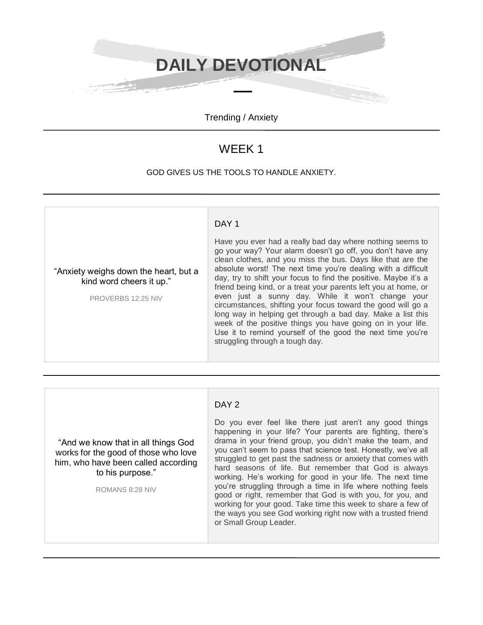**DAILY DEVOTIONAL**

Trending / Anxiety

## WEEK 1

## GOD GIVES US THE TOOLS TO HANDLE ANXIETY.

## DAY<sub>2</sub>

"And we know that in all things God works for the good of those who love him, who have been called according to his purpose."

ROMANS 8:28 NIV

Do you ever feel like there just aren't any good things happening in your life? Your parents are fighting, there's drama in your friend group, you didn't make the team, and you can't seem to pass that science test. Honestly, we've all struggled to get past the sadness or anxiety that comes with hard seasons of life. But remember that God is always working. He's working for good in your life. The next time you're struggling through a time in life where nothing feels good or right, remember that God is with you, for you, and working for your good. Take time this week to share a few of the ways you see God working right now with a trusted friend or Small Group Leader.